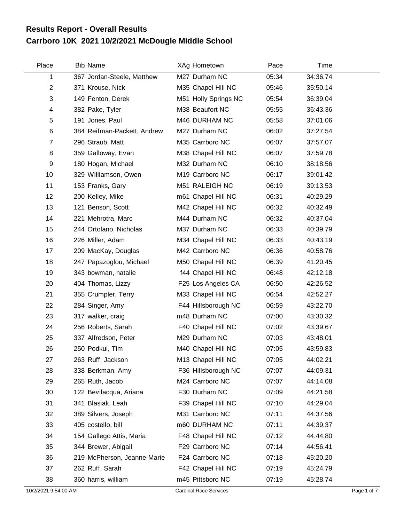## **Carrboro 10K 2021 10/2/2021 McDougle Middle School Results Report - Overall Results**

| Place                | <b>Bib Name</b>             | XAg Hometown                  | Pace  | Time     |             |
|----------------------|-----------------------------|-------------------------------|-------|----------|-------------|
| 1                    | 367 Jordan-Steele, Matthew  | M27 Durham NC                 | 05:34 | 34:36.74 |             |
| $\overline{2}$       | 371 Krouse, Nick            | M35 Chapel Hill NC            | 05:46 | 35:50.14 |             |
| 3                    | 149 Fenton, Derek           | M51 Holly Springs NC          | 05:54 | 36:39.04 |             |
| 4                    | 382 Pake, Tyler             | M38 Beaufort NC               | 05:55 | 36:43.36 |             |
| 5                    | 191 Jones, Paul             | M46 DURHAM NC                 | 05:58 | 37:01.06 |             |
| $\,6$                | 384 Reifman-Packett, Andrew | M27 Durham NC                 | 06:02 | 37:27.54 |             |
| $\overline{7}$       | 296 Straub, Matt            | M35 Carrboro NC               | 06:07 | 37:57.07 |             |
| 8                    | 359 Galloway, Evan          | M38 Chapel Hill NC            | 06:07 | 37:59.78 |             |
| 9                    | 180 Hogan, Michael          | M32 Durham NC                 | 06:10 | 38:18.56 |             |
| 10                   | 329 Williamson, Owen        | M19 Carrboro NC               | 06:17 | 39:01.42 |             |
| 11                   | 153 Franks, Gary            | M51 RALEIGH NC                | 06:19 | 39:13.53 |             |
| 12                   | 200 Kelley, Mike            | m61 Chapel Hill NC            | 06:31 | 40:29.29 |             |
| 13                   | 121 Benson, Scott           | M42 Chapel Hill NC            | 06:32 | 40:32.49 |             |
| 14                   | 221 Mehrotra, Marc          | M44 Durham NC                 | 06:32 | 40:37.04 |             |
| 15                   | 244 Ortolano, Nicholas      | M37 Durham NC                 | 06:33 | 40:39.79 |             |
| 16                   | 226 Miller, Adam            | M34 Chapel Hill NC            | 06:33 | 40:43.19 |             |
| 17                   | 209 MacKay, Douglas         | M42 Carrboro NC               | 06:36 | 40:58.76 |             |
| 18                   | 247 Papazoglou, Michael     | M50 Chapel Hill NC            | 06:39 | 41:20.45 |             |
| 19                   | 343 bowman, natalie         | f44 Chapel Hill NC            | 06:48 | 42:12.18 |             |
| 20                   | 404 Thomas, Lizzy           | F25 Los Angeles CA            | 06:50 | 42:26.52 |             |
| 21                   | 355 Crumpler, Terry         | M33 Chapel Hill NC            | 06:54 | 42:52.27 |             |
| 22                   | 284 Singer, Amy             | F44 Hillsborough NC           | 06:59 | 43:22.70 |             |
| 23                   | 317 walker, craig           | m48 Durham NC                 | 07:00 | 43:30.32 |             |
| 24                   | 256 Roberts, Sarah          | F40 Chapel Hill NC            | 07:02 | 43:39.67 |             |
| 25                   | 337 Alfredson, Peter        | M29 Durham NC                 | 07:03 | 43:48.01 |             |
| 26                   | 250 Podkul, Tim             | M40 Chapel Hill NC            | 07:05 | 43:59.83 |             |
| 27                   | 263 Ruff, Jackson           | M13 Chapel Hill NC            | 07:05 | 44:02.21 |             |
| 28                   | 338 Berkman, Amy            | F36 Hillsborough NC           | 07:07 | 44:09.31 |             |
| 29                   | 265 Ruth, Jacob             | M24 Carrboro NC               | 07:07 | 44:14.08 |             |
| 30                   | 122 Bevilacqua, Ariana      | F30 Durham NC                 | 07:09 | 44:21.58 |             |
| 31                   | 341 Blasiak, Leah           | F39 Chapel Hill NC            | 07:10 | 44:29.04 |             |
| 32                   | 389 Silvers, Joseph         | M31 Carrboro NC               | 07:11 | 44:37.56 |             |
| 33                   | 405 costello, bill          | m60 DURHAM NC                 | 07:11 | 44:39.37 |             |
| 34                   | 154 Gallego Attis, Maria    | F48 Chapel Hill NC            | 07:12 | 44:44.80 |             |
| 35                   | 344 Brewer, Abigail         | F29 Carrboro NC               | 07:14 | 44:56.41 |             |
| 36                   | 219 McPherson, Jeanne-Marie | F24 Carrboro NC               | 07:18 | 45:20.20 |             |
| 37                   | 262 Ruff, Sarah             | F42 Chapel Hill NC            | 07:19 | 45:24.79 |             |
| 38                   | 360 harris, william         | m45 Pittsboro NC              | 07:19 | 45:28.74 |             |
| 10/2/2021 9:54:00 AM |                             | <b>Cardinal Race Services</b> |       |          | Page 1 of 7 |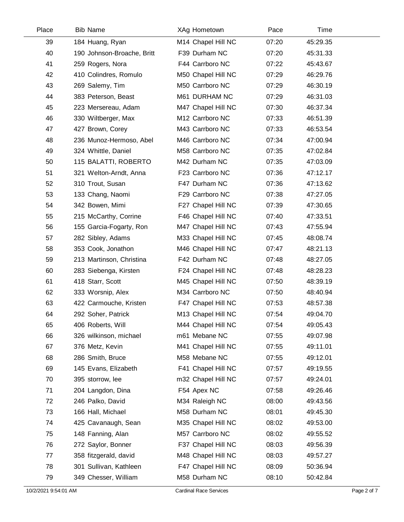| Place | <b>Bib Name</b>            | XAg Hometown       | Pace  | Time     |  |
|-------|----------------------------|--------------------|-------|----------|--|
| 39    | 184 Huang, Ryan            | M14 Chapel Hill NC | 07:20 | 45:29.35 |  |
| 40    | 190 Johnson-Broache, Britt | F39 Durham NC      | 07:20 | 45:31.33 |  |
| 41    | 259 Rogers, Nora           | F44 Carrboro NC    | 07:22 | 45:43.67 |  |
| 42    | 410 Colindres, Romulo      | M50 Chapel Hill NC | 07:29 | 46:29.76 |  |
| 43    | 269 Salemy, Tim            | M50 Carrboro NC    | 07:29 | 46:30.19 |  |
| 44    | 383 Peterson, Beast        | M61 DURHAM NC      | 07:29 | 46:31.03 |  |
| 45    | 223 Mersereau, Adam        | M47 Chapel Hill NC | 07:30 | 46:37.34 |  |
| 46    | 330 Wiltberger, Max        | M12 Carrboro NC    | 07:33 | 46:51.39 |  |
| 47    | 427 Brown, Corey           | M43 Carrboro NC    | 07:33 | 46:53.54 |  |
| 48    | 236 Munoz-Hermoso, Abel    | M46 Carrboro NC    | 07:34 | 47:00.94 |  |
| 49    | 324 Whittle, Daniel        | M58 Carrboro NC    | 07:35 | 47:02.84 |  |
| 50    | 115 BALATTI, ROBERTO       | M42 Durham NC      | 07:35 | 47:03.09 |  |
| 51    | 321 Welton-Arndt, Anna     | F23 Carrboro NC    | 07:36 | 47:12.17 |  |
| 52    | 310 Trout, Susan           | F47 Durham NC      | 07:36 | 47:13.62 |  |
| 53    | 133 Chang, Naomi           | F29 Carrboro NC    | 07:38 | 47:27.05 |  |
| 54    | 342 Bowen, Mimi            | F27 Chapel Hill NC | 07:39 | 47:30.65 |  |
| 55    | 215 McCarthy, Corrine      | F46 Chapel Hill NC | 07:40 | 47:33.51 |  |
| 56    | 155 Garcia-Fogarty, Ron    | M47 Chapel Hill NC | 07:43 | 47:55.94 |  |
| 57    | 282 Sibley, Adams          | M33 Chapel Hill NC | 07:45 | 48:08.74 |  |
| 58    | 353 Cook, Jonathon         | M46 Chapel Hill NC | 07:47 | 48:21.13 |  |
| 59    | 213 Martinson, Christina   | F42 Durham NC      | 07:48 | 48:27.05 |  |
| 60    | 283 Siebenga, Kirsten      | F24 Chapel Hill NC | 07:48 | 48:28.23 |  |
| 61    | 418 Starr, Scott           | M45 Chapel Hill NC | 07:50 | 48:39.19 |  |
| 62    | 333 Worsnip, Alex          | M34 Carrboro NC    | 07:50 | 48:40.94 |  |
| 63    | 422 Carmouche, Kristen     | F47 Chapel Hill NC | 07:53 | 48:57.38 |  |
| 64    | 292 Soher, Patrick         | M13 Chapel Hill NC | 07:54 | 49:04.70 |  |
| 65    | 406 Roberts, Will          | M44 Chapel Hill NC | 07:54 | 49:05.43 |  |
| 66    | 326 wilkinson, michael     | m61 Mebane NC      | 07:55 | 49:07.98 |  |
| 67    | 376 Metz, Kevin            | M41 Chapel Hill NC | 07:55 | 49:11.01 |  |
| 68    | 286 Smith, Bruce           | M58 Mebane NC      | 07:55 | 49:12.01 |  |
| 69    | 145 Evans, Elizabeth       | F41 Chapel Hill NC | 07:57 | 49:19.55 |  |
| 70    | 395 storrow, lee           | m32 Chapel Hill NC | 07:57 | 49:24.01 |  |
| 71    | 204 Langdon, Dina          | F54 Apex NC        | 07:58 | 49:26.46 |  |
| 72    | 246 Palko, David           | M34 Raleigh NC     | 08:00 | 49:43.56 |  |
| 73    | 166 Hall, Michael          | M58 Durham NC      | 08:01 | 49:45.30 |  |
| 74    | 425 Cavanaugh, Sean        | M35 Chapel Hill NC | 08:02 | 49:53.00 |  |
| 75    | 148 Fanning, Alan          | M57 Carrboro NC    | 08:02 | 49:55.52 |  |
| 76    | 272 Saylor, Bonner         | F37 Chapel Hill NC | 08:03 | 49:56.39 |  |
| 77    | 358 fitzgerald, david      | M48 Chapel Hill NC | 08:03 | 49:57.27 |  |
| 78    | 301 Sullivan, Kathleen     | F47 Chapel Hill NC | 08:09 | 50:36.94 |  |
| 79    | 349 Chesser, William       | M58 Durham NC      | 08:10 | 50:42.84 |  |
|       |                            |                    |       |          |  |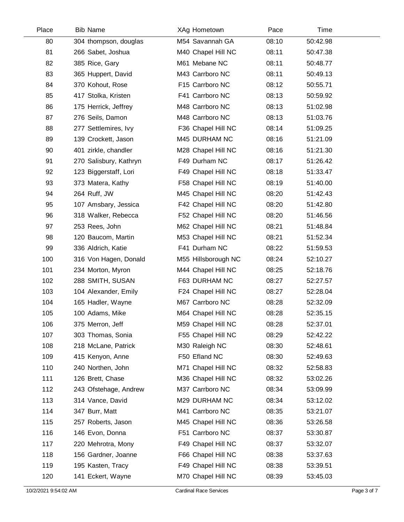| <b>Bib Name</b>        | XAg Hometown        | Pace  | Time     |  |
|------------------------|---------------------|-------|----------|--|
| 304 thompson, douglas  | M54 Savannah GA     | 08:10 | 50:42.98 |  |
| 266 Sabet, Joshua      | M40 Chapel Hill NC  | 08:11 | 50:47.38 |  |
| 385 Rice, Gary         | M61 Mebane NC       | 08:11 | 50:48.77 |  |
| 365 Huppert, David     | M43 Carrboro NC     | 08:11 | 50:49.13 |  |
| 370 Kohout, Rose       | F15 Carrboro NC     | 08:12 | 50:55.71 |  |
| 417 Stolka, Kristen    | F41 Carrboro NC     | 08:13 | 50:59.92 |  |
| 175 Herrick, Jeffrey   | M48 Carrboro NC     | 08:13 | 51:02.98 |  |
| 276 Seils, Damon       | M48 Carrboro NC     | 08:13 | 51:03.76 |  |
| 277 Settlemires, Ivy   | F36 Chapel Hill NC  | 08:14 | 51:09.25 |  |
| 139 Crockett, Jason    | M45 DURHAM NC       | 08:16 | 51:21.09 |  |
| 401 zirkle, chandler   | M28 Chapel Hill NC  | 08:16 | 51:21.30 |  |
| 270 Salisbury, Kathryn | F49 Durham NC       | 08:17 | 51:26.42 |  |
| 123 Biggerstaff, Lori  | F49 Chapel Hill NC  | 08:18 | 51:33.47 |  |
| 373 Matera, Kathy      | F58 Chapel Hill NC  | 08:19 | 51:40.00 |  |
| 264 Ruff, JW           | M45 Chapel Hill NC  | 08:20 | 51:42.43 |  |
| 107 Amsbary, Jessica   | F42 Chapel Hill NC  | 08:20 | 51:42.80 |  |
| 318 Walker, Rebecca    | F52 Chapel Hill NC  | 08:20 | 51:46.56 |  |
| 253 Rees, John         | M62 Chapel Hill NC  | 08:21 | 51:48.84 |  |
| 120 Baucom, Martin     | M53 Chapel Hill NC  | 08:21 | 51:52.34 |  |
| 336 Aldrich, Katie     | F41 Durham NC       | 08:22 | 51:59.53 |  |
| 316 Von Hagen, Donald  | M55 Hillsborough NC | 08:24 | 52:10.27 |  |
| 234 Morton, Myron      | M44 Chapel Hill NC  | 08:25 | 52:18.76 |  |
| 288 SMITH, SUSAN       | F63 DURHAM NC       | 08:27 | 52:27.57 |  |
| 104 Alexander, Emily   | F24 Chapel Hill NC  | 08:27 | 52:28.04 |  |
| 165 Hadler, Wayne      | M67 Carrboro NC     | 08:28 | 52:32.09 |  |
| 100 Adams, Mike        | M64 Chapel Hill NC  | 08:28 | 52:35.15 |  |
| 375 Merron, Jeff       | M59 Chapel Hill NC  | 08:28 | 52:37.01 |  |
| 303 Thomas, Sonia      | F55 Chapel Hill NC  | 08:29 | 52:42.22 |  |
| 218 McLane, Patrick    | M30 Raleigh NC      | 08:30 | 52:48.61 |  |
| 415 Kenyon, Anne       | F50 Efland NC       | 08:30 | 52:49.63 |  |
| 240 Northen, John      | M71 Chapel Hill NC  | 08:32 | 52:58.83 |  |
| 126 Brett, Chase       | M36 Chapel Hill NC  | 08:32 | 53:02.26 |  |
| 243 Ofstehage, Andrew  | M37 Carrboro NC     | 08:34 | 53:09.99 |  |
| 314 Vance, David       | M29 DURHAM NC       | 08:34 | 53:12.02 |  |
| 347 Burr, Matt         | M41 Carrboro NC     | 08:35 | 53:21.07 |  |
| 257 Roberts, Jason     | M45 Chapel Hill NC  | 08:36 | 53:26.58 |  |
| 146 Evon, Donna        | F51 Carrboro NC     | 08:37 | 53:30.87 |  |
| 220 Mehrotra, Mony     | F49 Chapel Hill NC  | 08:37 | 53:32.07 |  |
| 156 Gardner, Joanne    | F66 Chapel Hill NC  | 08:38 | 53:37.63 |  |
| 195 Kasten, Tracy      | F49 Chapel Hill NC  | 08:38 | 53:39.51 |  |
| 141 Eckert, Wayne      | M70 Chapel Hill NC  | 08:39 | 53:45.03 |  |
|                        |                     |       |          |  |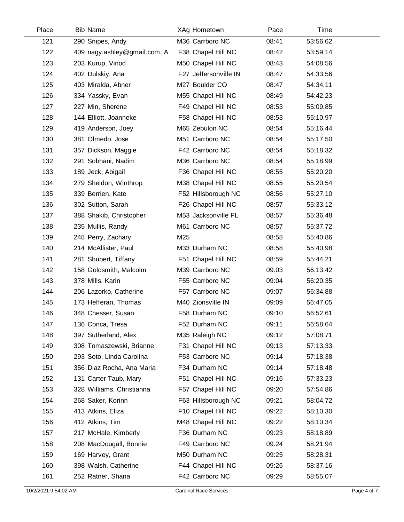| Place | <b>Bib Name</b>              | XAg Hometown          | Pace  | Time     |
|-------|------------------------------|-----------------------|-------|----------|
| 121   | 290 Snipes, Andy             | M36 Carrboro NC       | 08:41 | 53:56.62 |
| 122   | 409 nagy.ashley@gmail.com, A | F38 Chapel Hill NC    | 08:42 | 53:59.14 |
| 123   | 203 Kurup, Vinod             | M50 Chapel Hill NC    | 08:43 | 54:08.56 |
| 124   | 402 Dulskiy, Ana             | F27 Jeffersonville IN | 08:47 | 54:33.56 |
| 125   | 403 Miralda, Abner           | M27 Boulder CO        | 08:47 | 54:34.11 |
| 126   | 334 Yassky, Evan             | M55 Chapel Hill NC    | 08:49 | 54:42.23 |
| 127   | 227 Min, Sherene             | F49 Chapel Hill NC    | 08:53 | 55:09.85 |
| 128   | 144 Elliott, Joanneke        | F58 Chapel Hill NC    | 08:53 | 55:10.97 |
| 129   | 419 Anderson, Joey           | M65 Zebulon NC        | 08:54 | 55:16.44 |
| 130   | 381 Olmedo, Jose             | M51 Carrboro NC       | 08:54 | 55:17.50 |
| 131   | 357 Dickson, Maggie          | F42 Carrboro NC       | 08:54 | 55:18.32 |
| 132   | 291 Sobhani, Nadim           | M36 Carrboro NC       | 08:54 | 55:18.99 |
| 133   | 189 Jeck, Abigail            | F36 Chapel Hill NC    | 08:55 | 55:20.20 |
| 134   | 279 Sheldon, Winthrop        | M38 Chapel Hill NC    | 08:55 | 55:20.54 |
| 135   | 339 Berrien, Kate            | F52 Hillsborough NC   | 08:56 | 55:27.10 |
| 136   | 302 Sutton, Sarah            | F26 Chapel Hill NC    | 08:57 | 55:33.12 |
| 137   | 388 Shakib, Christopher      | M53 Jacksonville FL   | 08:57 | 55:36.48 |
| 138   | 235 Mullis, Randy            | M61 Carrboro NC       | 08:57 | 55:37.72 |
| 139   | 248 Perry, Zachary           | M25                   | 08:58 | 55:40.86 |
| 140   | 214 McAllister, Paul         | M33 Durham NC         | 08:58 | 55:40.98 |
| 141   | 281 Shubert, Tiffany         | F51 Chapel Hill NC    | 08:59 | 55:44.21 |
| 142   | 158 Goldsmith, Malcolm       | M39 Carrboro NC       | 09:03 | 56:13.42 |
| 143   | 378 Mills, Karin             | F55 Carrboro NC       | 09:04 | 56:20.35 |
| 144   | 206 Lazorko, Catherine       | F57 Carrboro NC       | 09:07 | 56:34.88 |
| 145   | 173 Hefferan, Thomas         | M40 Zionsville IN     | 09:09 | 56:47.05 |
| 146   | 348 Chesser, Susan           | F58 Durham NC         | 09:10 | 56:52.61 |
| 147   | 136 Conca, Tresa             | F52 Durham NC         | 09:11 | 56:58.64 |
| 148   | 397 Sutherland, Alex         | M35 Raleigh NC        | 09:12 | 57:08.71 |
| 149   | 308 Tomaszewski, Brianne     | F31 Chapel Hill NC    | 09:13 | 57:13.33 |
| 150   | 293 Soto, Linda Carolina     | F53 Carrboro NC       | 09:14 | 57:18.38 |
| 151   | 356 Diaz Rocha, Ana Maria    | F34 Durham NC         | 09:14 | 57:18.48 |
| 152   | 131 Carter Taub, Mary        | F51 Chapel Hill NC    | 09:16 | 57:33.23 |
| 153   | 328 Williams, Christianna    | F57 Chapel Hill NC    | 09:20 | 57:54.86 |
| 154   | 268 Saker, Korinn            | F63 Hillsborough NC   | 09:21 | 58:04.72 |
| 155   | 413 Atkins, Eliza            | F10 Chapel Hill NC    | 09:22 | 58:10.30 |
| 156   | 412 Atkins, Tim              | M48 Chapel Hill NC    | 09:22 | 58:10.34 |
| 157   | 217 McHale, Kimberly         | F36 Durham NC         | 09:23 | 58:18.89 |
| 158   | 208 MacDougall, Bonnie       | F49 Carrboro NC       | 09:24 | 58:21.94 |
| 159   | 169 Harvey, Grant            | M50 Durham NC         | 09:25 | 58:28.31 |
| 160   | 398 Walsh, Catherine         | F44 Chapel Hill NC    | 09:26 | 58:37.16 |
| 161   | 252 Ratner, Shana            | F42 Carrboro NC       | 09:29 | 58:55.07 |
|       |                              |                       |       |          |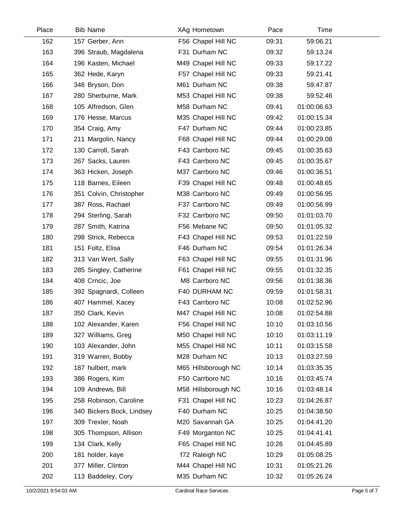| Place | <b>Bib Name</b>           | XAg Hometown        | Pace  | Time        |  |
|-------|---------------------------|---------------------|-------|-------------|--|
| 162   | 157 Gerber, Ann           | F56 Chapel Hill NC  | 09:31 | 59:06.21    |  |
| 163   | 396 Straub, Magdalena     | F31 Durham NC       | 09:32 | 59:13.24    |  |
| 164   | 196 Kasten, Michael       | M49 Chapel Hill NC  | 09:33 | 59:17.22    |  |
| 165   | 362 Hede, Karyn           | F57 Chapel Hill NC  | 09:33 | 59:21.41    |  |
| 166   | 346 Bryson, Don           | M61 Durham NC       | 09:38 | 59:47.87    |  |
| 167   | 280 Sherburne, Mark       | M53 Chapel Hill NC  | 09:38 | 59:52.46    |  |
| 168   | 105 Alfredson, Glen       | M58 Durham NC       | 09:41 | 01:00:06.63 |  |
| 169   | 176 Hesse, Marcus         | M35 Chapel Hill NC  | 09:42 | 01:00:15.34 |  |
| 170   | 354 Craig, Amy            | F47 Durham NC       | 09:44 | 01:00:23.85 |  |
| 171   | 211 Margolin, Nancy       | F68 Chapel Hill NC  | 09:44 | 01:00:29.08 |  |
| 172   | 130 Carroll, Sarah        | F43 Carrboro NC     | 09:45 | 01:00:35.63 |  |
| 173   | 267 Sacks, Lauren         | F43 Carrboro NC     | 09:45 | 01:00:35.67 |  |
| 174   | 363 Hicken, Joseph        | M37 Carrboro NC     | 09:46 | 01:00:36.51 |  |
| 175   | 118 Barnes, Eileen        | F39 Chapel Hill NC  | 09:48 | 01:00:48.65 |  |
| 176   | 351 Colvin, Christopher   | M38 Carrboro NC     | 09:49 | 01:00:56.95 |  |
| 177   | 387 Ross, Rachael         | F37 Carrboro NC     | 09:49 | 01:00:56.99 |  |
| 178   | 294 Sterling, Sarah       | F32 Carrboro NC     | 09:50 | 01:01:03.70 |  |
| 179   | 287 Smith, Katrina        | F56 Mebane NC       | 09:50 | 01:01:05.32 |  |
| 180   | 298 Strick, Rebecca       | F43 Chapel Hill NC  | 09:53 | 01:01:22.59 |  |
| 181   | 151 Foltz, Elisa          | F46 Durham NC       | 09:54 | 01:01:26.34 |  |
| 182   | 313 Van Wert, Sally       | F63 Chapel Hill NC  | 09:55 | 01:01:31.96 |  |
| 183   | 285 Singley, Catherine    | F61 Chapel Hill NC  | 09:55 | 01:01:32.35 |  |
| 184   | 408 Crncic, Joe           | M8 Carrboro NC      | 09:56 | 01:01:38.36 |  |
| 185   | 392 Spagnardi, Colleen    | F40 DURHAM NC       | 09:59 | 01:01:58.31 |  |
| 186   | 407 Hammel, Kacey         | F43 Carrboro NC     | 10:08 | 01:02:52.96 |  |
| 187   | 350 Clark, Kevin          | M47 Chapel Hill NC  | 10:08 | 01:02:54.88 |  |
| 188   | 102 Alexander, Karen      | F56 Chapel Hill NC  | 10:10 | 01:03:10.56 |  |
| 189   | 327 Williams, Greg        | M50 Chapel Hill NC  | 10:10 | 01:03:11.19 |  |
| 190   | 103 Alexander, John       | M55 Chapel Hill NC  | 10:11 | 01:03:15.58 |  |
| 191   | 319 Warren, Bobby         | M28 Durham NC       | 10:13 | 01:03:27.59 |  |
| 192   | 187 hulbert, mark         | M65 Hillsborough NC | 10:14 | 01:03:35.35 |  |
| 193   | 386 Rogers, Kim           | F50 Carrboro NC     | 10:16 | 01:03:45.74 |  |
| 194   | 109 Andrews, Bill         | M58 Hillsborough NC | 10:16 | 01:03:48.14 |  |
| 195   | 258 Robinson, Caroline    | F31 Chapel Hill NC  | 10:23 | 01:04:26.87 |  |
| 196   | 340 Bickers Bock, Lindsey | F40 Durham NC       | 10:25 | 01:04:38.50 |  |
| 197   | 309 Trexler, Noah         | M20 Savannah GA     | 10:25 | 01:04:41.20 |  |
| 198   | 305 Thompson, Allison     | F49 Morganton NC    | 10:25 | 01:04:41.41 |  |
| 199   | 134 Clark, Kelly          | F65 Chapel Hill NC  | 10:26 | 01:04:45.89 |  |
| 200   | 181 holder, kaye          | f72 Raleigh NC      | 10:29 | 01:05:08.25 |  |
| 201   | 377 Miller, Clinton       | M44 Chapel Hill NC  | 10:31 | 01:05:21.26 |  |
| 202   | 113 Baddeley, Cory        | M35 Durham NC       | 10:32 | 01:05:26.24 |  |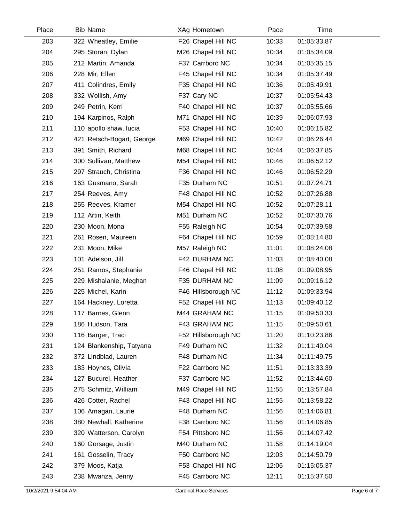| Place | <b>Bib Name</b>           | XAg Hometown        | Pace  | Time        |  |
|-------|---------------------------|---------------------|-------|-------------|--|
| 203   | 322 Wheatley, Emilie      | F26 Chapel Hill NC  | 10:33 | 01:05:33.87 |  |
| 204   | 295 Storan, Dylan         | M26 Chapel Hill NC  | 10:34 | 01:05:34.09 |  |
| 205   | 212 Martin, Amanda        | F37 Carrboro NC     | 10:34 | 01:05:35.15 |  |
| 206   | 228 Mir, Ellen            | F45 Chapel Hill NC  | 10:34 | 01:05:37.49 |  |
| 207   | 411 Colindres, Emily      | F35 Chapel Hill NC  | 10:36 | 01:05:49.91 |  |
| 208   | 332 Wollish, Amy          | F37 Cary NC         | 10:37 | 01:05:54.43 |  |
| 209   | 249 Petrin, Kerri         | F40 Chapel Hill NC  | 10:37 | 01:05:55.66 |  |
| 210   | 194 Karpinos, Ralph       | M71 Chapel Hill NC  | 10:39 | 01:06:07.93 |  |
| 211   | 110 apollo shaw, lucia    | F53 Chapel Hill NC  | 10:40 | 01:06:15.82 |  |
| 212   | 421 Retsch-Bogart, George | M69 Chapel Hill NC  | 10:42 | 01:06:26.44 |  |
| 213   | 391 Smith, Richard        | M68 Chapel Hill NC  | 10:44 | 01:06:37.85 |  |
| 214   | 300 Sullivan, Matthew     | M54 Chapel Hill NC  | 10:46 | 01:06:52.12 |  |
| 215   | 297 Strauch, Christina    | F36 Chapel Hill NC  | 10:46 | 01:06:52.29 |  |
| 216   | 163 Gusmano, Sarah        | F35 Durham NC       | 10:51 | 01:07:24.71 |  |
| 217   | 254 Reeves, Amy           | F48 Chapel Hill NC  | 10:52 | 01:07:26.88 |  |
| 218   | 255 Reeves, Kramer        | M54 Chapel Hill NC  | 10:52 | 01:07:28.11 |  |
| 219   | 112 Artin, Keith          | M51 Durham NC       | 10:52 | 01:07:30.76 |  |
| 220   | 230 Moon, Mona            | F55 Raleigh NC      | 10:54 | 01:07:39.58 |  |
| 221   | 261 Rosen, Maureen        | F64 Chapel Hill NC  | 10:59 | 01:08:14.80 |  |
| 222   | 231 Moon, Mike            | M57 Raleigh NC      | 11:01 | 01:08:24.08 |  |
| 223   | 101 Adelson, Jill         | F42 DURHAM NC       | 11:03 | 01:08:40.08 |  |
| 224   | 251 Ramos, Stephanie      | F46 Chapel Hill NC  | 11:08 | 01:09:08.95 |  |
| 225   | 229 Mishalanie, Meghan    | F35 DURHAM NC       | 11:09 | 01:09:16.12 |  |
| 226   | 225 Michel, Karin         | F46 Hillsborough NC | 11:12 | 01:09:33.94 |  |
| 227   | 164 Hackney, Loretta      | F52 Chapel Hill NC  | 11:13 | 01:09:40.12 |  |
| 228   | 117 Barnes, Glenn         | M44 GRAHAM NC       | 11:15 | 01:09:50.33 |  |
| 229   | 186 Hudson, Tara          | F43 GRAHAM NC       | 11:15 | 01:09:50.61 |  |
| 230   | 116 Barger, Traci         | F52 Hillsborough NC | 11:20 | 01:10:23.86 |  |
| 231   | 124 Blankenship, Tatyana  | F49 Durham NC       | 11:32 | 01:11:40.04 |  |
| 232   | 372 Lindblad, Lauren      | F48 Durham NC       | 11:34 | 01:11:49.75 |  |
| 233   | 183 Hoynes, Olivia        | F22 Carrboro NC     | 11:51 | 01:13:33.39 |  |
| 234   | 127 Bucurel, Heather      | F37 Carrboro NC     | 11:52 | 01:13:44.60 |  |
| 235   | 275 Schmitz, William      | M49 Chapel Hill NC  | 11:55 | 01:13:57.84 |  |
| 236   | 426 Cotter, Rachel        | F43 Chapel Hill NC  | 11:55 | 01:13:58.22 |  |
| 237   | 106 Amagan, Laurie        | F48 Durham NC       | 11:56 | 01:14:06.81 |  |
| 238   | 380 Newhall, Katherine    | F38 Carrboro NC     | 11:56 | 01:14:06.85 |  |
| 239   | 320 Watterson, Carolyn    | F54 Pittsboro NC    | 11:56 | 01:14:07.42 |  |
| 240   | 160 Gorsage, Justin       | M40 Durham NC       | 11:58 | 01:14:19.04 |  |
| 241   | 161 Gosselin, Tracy       | F50 Carrboro NC     | 12:03 | 01:14:50.79 |  |
| 242   | 379 Moos, Katja           | F53 Chapel Hill NC  | 12:06 | 01:15:05.37 |  |
| 243   | 238 Mwanza, Jenny         | F45 Carrboro NC     | 12:11 | 01:15:37.50 |  |